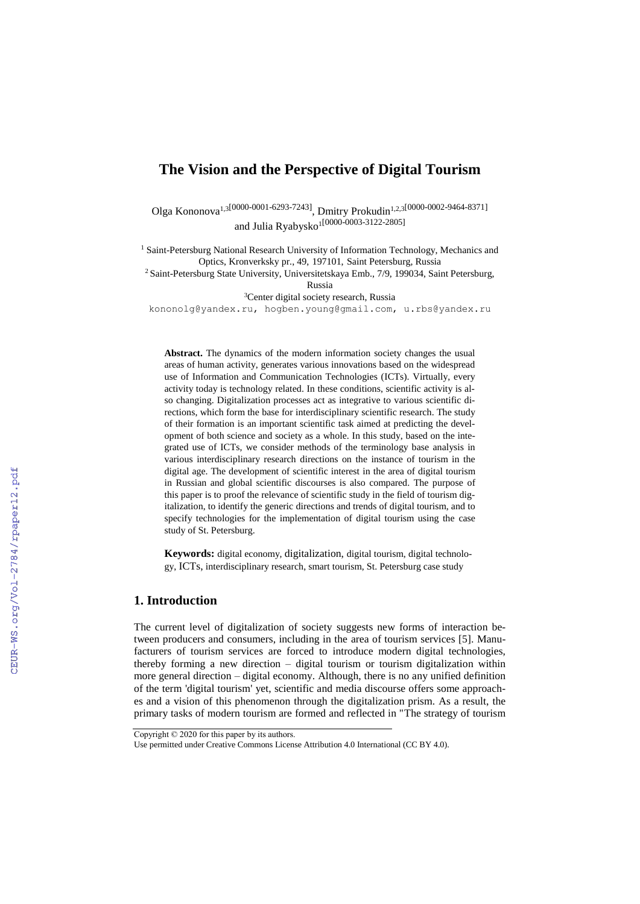# **The Vision and the Perspective of Digital Tourism**

Olga Kononova<sup>1,3[0000-0001-6293-7243]</sup>, Dmitry Prokudin<sup>1,2,3[0000-0002-9464-8371]</sup> and Julia Ryabysko<sup>1[0000-0003-3122-2805]</sup>

<sup>1</sup> Saint-Petersburg National Research University of Information Technology, Mechanics and Optics, Kronverksky pr., 49, 197101, Saint Petersburg, Russia

<sup>2</sup> Saint-Petersburg State University, Universitetskaya Emb., 7/9, 199034, Saint Petersburg,

Russia

<sup>3</sup>Center digital society research, Russia

[kononolg@yandex.ru,](mailto:kononolg@yandex.ru) [hogben.young@gmail.com,](mailto:hogben.young@gmail.com) u.rbs@yandex.ru

**Abstract.** The dynamics of the modern information society changes the usual areas of human activity, generates various innovations based on the widespread use of Information and Communication Technologies (ICTs). Virtually, every activity today is technology related. In these conditions, scientific activity is also changing. Digitalization processes act as integrative to various scientific directions, which form the base for interdisciplinary scientific research. The study of their formation is an important scientific task aimed at predicting the development of both science and society as a whole. In this study, based on the integrated use of ICTs, we consider methods of the terminology base analysis in various interdisciplinary research directions on the instance of tourism in the digital age. The development of scientific interest in the area of digital tourism in Russian and global scientific discourses is also compared. The purpose of this paper is to proof the relevance of scientific study in the field of tourism digitalization, to identify the generic directions and trends of digital tourism, and to specify technologies for the implementation of digital tourism using the case study of St. Petersburg.

**Keywords:** digital economy, digitalization, digital tourism, digital technology, ICTs, interdisciplinary research, smart tourism, St. Petersburg case study

### **1. Introduction**

The current level of digitalization of society suggests new forms of interaction between producers and consumers, including in the area of tourism services [5]. Manufacturers of tourism services are forced to introduce modern digital technologies, thereby forming a new direction – digital tourism or tourism digitalization within more general direction – digital economy. Although, there is no any unified definition of the term 'digital tourism' yet, scientific and media discourse offers some approaches and a vision of this phenomenon through the digitalization prism. As a result, the primary tasks of modern tourism are formed and reflected in "The strategy of tourism

Copyright © 2020 for this paper by its authors.

Use permitted under Creative Commons License Attribution 4.0 International (CC BY 4.0).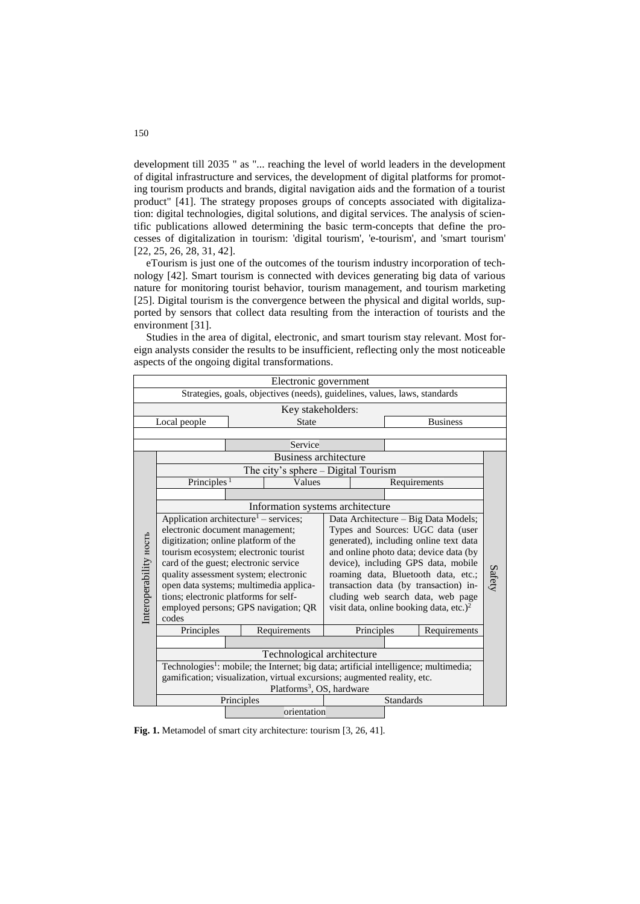development till 2035 " as "... reaching the level of world leaders in the development of digital infrastructure and services, the development of digital platforms for promoting tourism products and brands, digital navigation aids and the formation of a tourist product" [41]. The strategy proposes groups of concepts associated with digitalization: digital technologies, digital solutions, and digital services. The analysis of scientific publications allowed determining the basic term-concepts that define the processes of digitalization in tourism: 'digital tourism', 'e-tourism', and 'smart tourism' [22, 25, 26, 28, 31, 42].

eTourism is just one of the outcomes of the tourism industry incorporation of technology [42]. Smart tourism is connected with devices generating big data of various nature for monitoring tourist behavior, tourism management, and tourism marketing [25]. Digital tourism is the convergence between the physical and digital worlds, supported by sensors that collect data resulting from the interaction of tourists and the environment [31].

Studies in the area of digital, electronic, and smart tourism stay relevant. Most foreign analysts consider the results to be insufficient, reflecting only the most noticeable aspects of the ongoing digital transformations.

| Electronic government                                                      |                                                                                                  |                                        |                                   |  |                                                     |                  |              |        |  |  |
|----------------------------------------------------------------------------|--------------------------------------------------------------------------------------------------|----------------------------------------|-----------------------------------|--|-----------------------------------------------------|------------------|--------------|--------|--|--|
| Strategies, goals, objectives (needs), guidelines, values, laws, standards |                                                                                                  |                                        |                                   |  |                                                     |                  |              |        |  |  |
| Key stakeholders:                                                          |                                                                                                  |                                        |                                   |  |                                                     |                  |              |        |  |  |
| Local people                                                               |                                                                                                  |                                        | <b>State</b>                      |  |                                                     | <b>Business</b>  |              |        |  |  |
|                                                                            |                                                                                                  |                                        |                                   |  |                                                     |                  |              |        |  |  |
|                                                                            |                                                                                                  |                                        | Service                           |  |                                                     |                  |              |        |  |  |
|                                                                            | <b>Business architecture</b>                                                                     |                                        |                                   |  |                                                     |                  |              |        |  |  |
|                                                                            | The city's sphere – Digital Tourism                                                              |                                        |                                   |  |                                                     |                  |              |        |  |  |
|                                                                            |                                                                                                  | Principles <sup><math>1</math></sup>   |                                   |  |                                                     | Requirements     |              |        |  |  |
|                                                                            |                                                                                                  |                                        |                                   |  |                                                     |                  |              |        |  |  |
|                                                                            | Information systems architecture                                                                 |                                        |                                   |  |                                                     |                  |              |        |  |  |
|                                                                            | Application architecture <sup>1</sup> – services;                                                |                                        |                                   |  | Data Architecture - Big Data Models;                |                  |              |        |  |  |
|                                                                            | electronic document management;                                                                  |                                        | Types and Sources: UGC data (user |  |                                                     |                  |              |        |  |  |
|                                                                            | digitization; online platform of the                                                             | generated), including online text data |                                   |  |                                                     |                  |              |        |  |  |
| Interoperability ность                                                     | tourism ecosystem; electronic tourist                                                            |                                        |                                   |  | and online photo data; device data (by              |                  |              |        |  |  |
|                                                                            | card of the guest; electronic service                                                            |                                        |                                   |  | device), including GPS data, mobile                 |                  |              |        |  |  |
|                                                                            | quality assessment system; electronic                                                            |                                        |                                   |  | roaming data, Bluetooth data, etc.;                 |                  |              | Safety |  |  |
|                                                                            | open data systems; multimedia applica-                                                           |                                        |                                   |  | transaction data (by transaction) in-               |                  |              |        |  |  |
|                                                                            | tions; electronic platforms for self-                                                            |                                        |                                   |  | cluding web search data, web page                   |                  |              |        |  |  |
|                                                                            | employed persons; GPS navigation; QR                                                             |                                        |                                   |  | visit data, online booking data, etc.) <sup>2</sup> |                  |              |        |  |  |
|                                                                            | codes                                                                                            |                                        |                                   |  |                                                     |                  |              |        |  |  |
|                                                                            | Principles                                                                                       |                                        | Requirements                      |  | Principles                                          |                  | Requirements |        |  |  |
|                                                                            |                                                                                                  |                                        |                                   |  |                                                     |                  |              |        |  |  |
|                                                                            | Technological architecture                                                                       |                                        |                                   |  |                                                     |                  |              |        |  |  |
|                                                                            | Technologies <sup>1</sup> : mobile; the Internet; big data; artificial intelligence; multimedia; |                                        |                                   |  |                                                     |                  |              |        |  |  |
|                                                                            | gamification; visualization, virtual excursions; augmented reality, etc.                         |                                        |                                   |  |                                                     |                  |              |        |  |  |
|                                                                            | Platforms <sup>3</sup> , OS, hardware                                                            |                                        |                                   |  |                                                     |                  |              |        |  |  |
|                                                                            |                                                                                                  | Principles                             |                                   |  |                                                     | <b>Standards</b> |              |        |  |  |
|                                                                            | orientation                                                                                      |                                        |                                   |  |                                                     |                  |              |        |  |  |

**Fig. 1.** Metamodel of smart city architecture: tourism [3, 26, 41].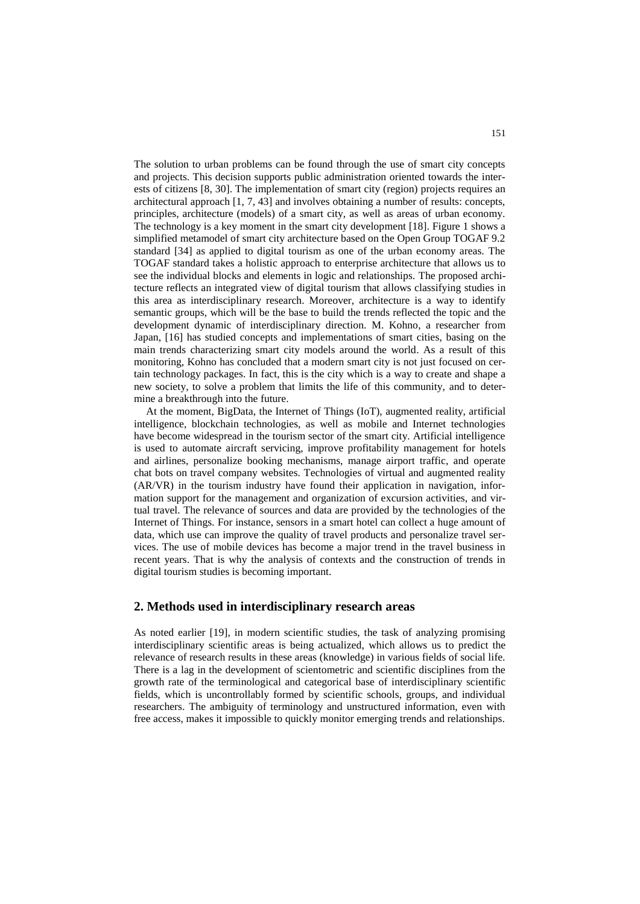The solution to urban problems can be found through the use of smart city concepts and projects. This decision supports public administration oriented towards the interests of citizens [8, 30]. The implementation of smart city (region) projects requires an architectural approach [1, 7, 43] and involves obtaining a number of results: concepts, principles, architecture (models) of a smart city, as well as areas of urban economy. The technology is a key moment in the smart city development [18]. Figure 1 shows a simplified metamodel of smart city architecture based on the Open Group TOGAF 9.2 standard [34] as applied to digital tourism as one of the urban economy areas. The TOGAF standard takes a holistic approach to enterprise architecture that allows us to see the individual blocks and elements in logic and relationships. The proposed architecture reflects an integrated view of digital tourism that allows classifying studies in this area as interdisciplinary research. Moreover, architecture is a way to identify semantic groups, which will be the base to build the trends reflected the topic and the development dynamic of interdisciplinary direction. M. Kohno, a researcher from Japan, [16] has studied concepts and implementations of smart cities, basing on the main trends characterizing smart city models around the world. As a result of this monitoring, Kohno has concluded that a modern smart city is not just focused on certain technology packages. In fact, this is the city which is a way to create and shape a new society, to solve a problem that limits the life of this community, and to determine a breakthrough into the future.

At the moment, BigData, the Internet of Things (IoT), augmented reality, artificial intelligence, blockchain technologies, as well as mobile and Internet technologies have become widespread in the tourism sector of the smart city. Artificial intelligence is used to automate aircraft servicing, improve profitability management for hotels and airlines, personalize booking mechanisms, manage airport traffic, and operate chat bots on travel company websites. Technologies of virtual and augmented reality (AR/VR) in the tourism industry have found their application in navigation, information support for the management and organization of excursion activities, and virtual travel. The relevance of sources and data are provided by the technologies of the Internet of Things. For instance, sensors in a smart hotel can collect a huge amount of data, which use can improve the quality of travel products and personalize travel services. The use of mobile devices has become a major trend in the travel business in recent years. That is why the analysis of contexts and the construction of trends in digital tourism studies is becoming important.

#### **2. Methods used in interdisciplinary research areas**

As noted earlier [19], in modern scientific studies, the task of analyzing promising interdisciplinary scientific areas is being actualized, which allows us to predict the relevance of research results in these areas (knowledge) in various fields of social life. There is a lag in the development of scientometric and scientific disciplines from the growth rate of the terminological and categorical base of interdisciplinary scientific fields, which is uncontrollably formed by scientific schools, groups, and individual researchers. The ambiguity of terminology and unstructured information, even with free access, makes it impossible to quickly monitor emerging trends and relationships.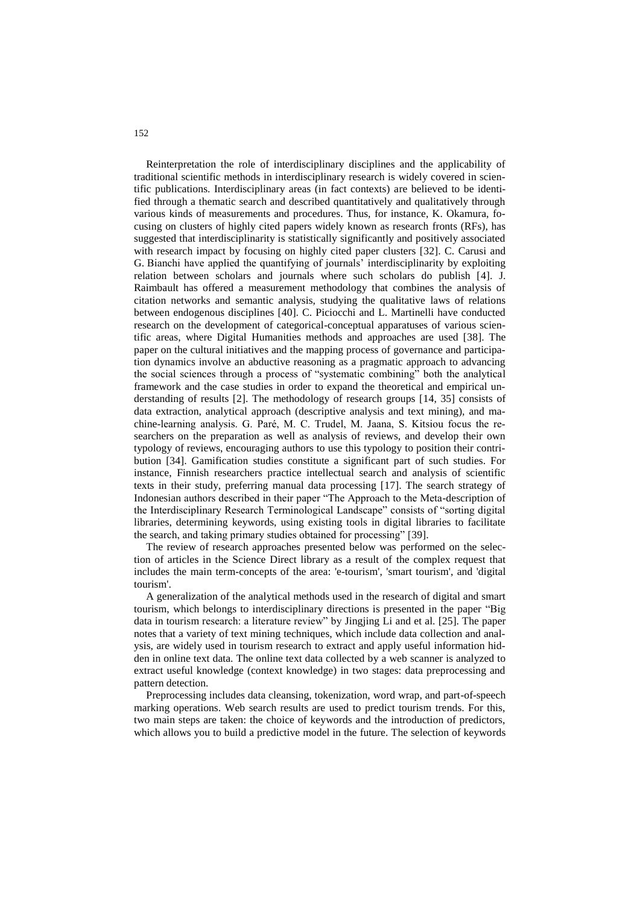Reinterpretation the role of interdisciplinary disciplines and the applicability of traditional scientific methods in interdisciplinary research is widely covered in scientific publications. Interdisciplinary areas (in fact contexts) are believed to be identified through a thematic search and described quantitatively and qualitatively through various kinds of measurements and procedures. Thus, for instance, K. Okamura, focusing on clusters of highly cited papers widely known as research fronts (RFs), has suggested that interdisciplinarity is statistically significantly and positively associated with research impact by focusing on highly cited paper clusters [32]. C. Carusi and G. Bianchi have applied the quantifying of journals' interdisciplinarity by exploiting relation between scholars and journals where such scholars do publish [4]. J. Raimbault has offered a measurement methodology that combines the analysis of citation networks and semantic analysis, studying the qualitative laws of relations between endogenous disciplines [40]. C. Piciocchi and L. Martinelli have conducted research on the development of categorical-conceptual apparatuses of various scientific areas, where Digital Humanities methods and approaches are used [38]. The paper on the cultural initiatives and the mapping process of governance and participation dynamics involve an abductive reasoning as a pragmatic approach to advancing the social sciences through a process of "systematic combining" both the analytical framework and the case studies in order to expand the theoretical and empirical understanding of results [2]. The methodology of research groups [14, 35] consists of data extraction, analytical approach (descriptive analysis and text mining), and machine-learning analysis. G. Paré, M. C. Trudel, M. Jaana, S. Kitsiou focus the researchers on the preparation as well as analysis of reviews, and develop their own typology of reviews, encouraging authors to use this typology to position their contribution [34]. Gamification studies constitute a significant part of such studies. For instance, Finnish researchers practice intellectual search and analysis of scientific texts in their study, preferring manual data processing [17]. The search strategy of Indonesian authors described in their paper "The Approach to the Meta-description of the Interdisciplinary Research Terminological Landscape" consists of "sorting digital libraries, determining keywords, using existing tools in digital libraries to facilitate the search, and taking primary studies obtained for processing" [39].

The review of research approaches presented below was performed on the selection of articles in the Science Direct library as a result of the complex request that includes the main term-concepts of the area: 'e-tourism', 'smart tourism', and 'digital tourism'.

A generalization of the analytical methods used in the research of digital and smart tourism, which belongs to interdisciplinary directions is presented in the paper "Big data in tourism research: a literature review" by Jingjing Li and et al. [25]. The paper notes that a variety of text mining techniques, which include data collection and analysis, are widely used in tourism research to extract and apply useful information hidden in online text data. The online text data collected by a web scanner is analyzed to extract useful knowledge (context knowledge) in two stages: data preprocessing and pattern detection.

Preprocessing includes data cleansing, tokenization, word wrap, and part-of-speech marking operations. Web search results are used to predict tourism trends. For this, two main steps are taken: the choice of keywords and the introduction of predictors, which allows you to build a predictive model in the future. The selection of keywords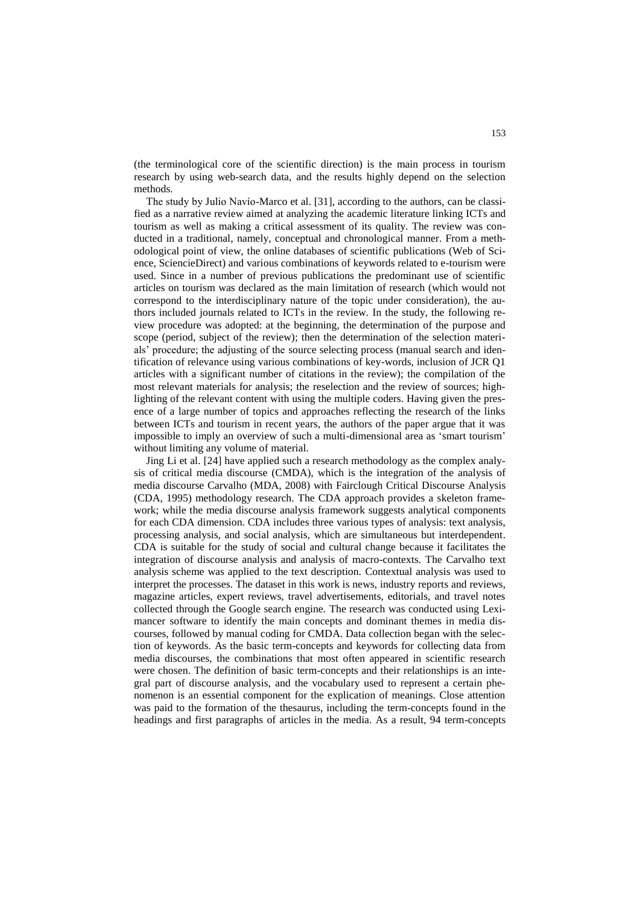(the terminological core of the scientific direction) is the main process in tourism research by using web-search data, and the results highly depend on the selection methods.

The study by Julio Navío-Marco et al. [31], according to the authors, can be classified as a narrative review aimed at analyzing the academic literature linking ICTs and tourism as well as making a critical assessment of its quality. The review was conducted in a traditional, namely, conceptual and chronological manner. From a methodological point of view, the online databases of scientific publications (Web of Science, SciencieDirect) and various combinations of keywords related to e-tourism were used. Since in a number of previous publications the predominant use of scientific articles on tourism was declared as the main limitation of research (which would not correspond to the interdisciplinary nature of the topic under consideration), the authors included journals related to ICTs in the review. In the study, the following review procedure was adopted: at the beginning, the determination of the purpose and scope (period, subject of the review); then the determination of the selection materials' procedure; the adjusting of the source selecting process (manual search and identification of relevance using various combinations of key-words, inclusion of JCR Q1 articles with a significant number of citations in the review); the compilation of the most relevant materials for analysis; the reselection and the review of sources; highlighting of the relevant content with using the multiple coders. Having given the presence of a large number of topics and approaches reflecting the research of the links between ICTs and tourism in recent years, the authors of the paper argue that it was impossible to imply an overview of such a multi-dimensional area as 'smart tourism' without limiting any volume of material.

Jing Li et al. [24] have applied such a research methodology as the complex analysis of critical media discourse (CMDA), which is the integration of the analysis of media discourse Carvalho (MDA, 2008) with Fairclough Critical Discourse Analysis (CDA, 1995) methodology research. The CDA approach provides a skeleton framework; while the media discourse analysis framework suggests analytical components for each CDA dimension. CDA includes three various types of analysis: text analysis, processing analysis, and social analysis, which are simultaneous but interdependent. CDA is suitable for the study of social and cultural change because it facilitates the integration of discourse analysis and analysis of macro-contexts. The Carvalho text analysis scheme was applied to the text description. Contextual analysis was used to interpret the processes. The dataset in this work is news, industry reports and reviews, magazine articles, expert reviews, travel advertisements, editorials, and travel notes collected through the Google search engine. The research was conducted using Leximancer software to identify the main concepts and dominant themes in media discourses, followed by manual coding for CMDA. Data collection began with the selection of keywords. As the basic term-concepts and keywords for collecting data from media discourses, the combinations that most often appeared in scientific research were chosen. The definition of basic term-concepts and their relationships is an integral part of discourse analysis, and the vocabulary used to represent a certain phenomenon is an essential component for the explication of meanings. Close attention was paid to the formation of the thesaurus, including the term-concepts found in the headings and first paragraphs of articles in the media. As a result, 94 term-concepts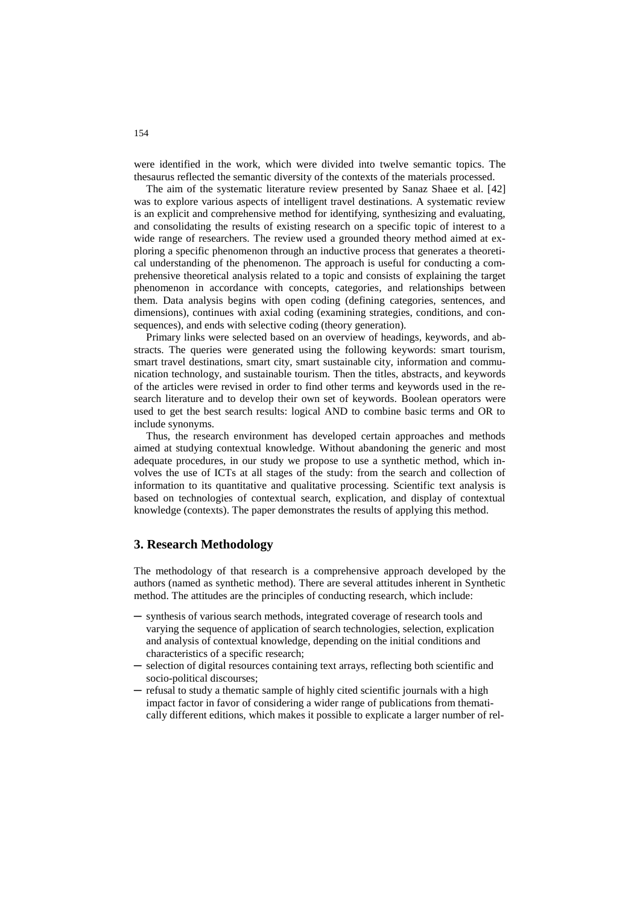were identified in the work, which were divided into twelve semantic topics. The thesaurus reflected the semantic diversity of the contexts of the materials processed.

The aim of the systematic literature review presented by Sanaz Shaee et al. [42] was to explore various aspects of intelligent travel destinations. A systematic review is an explicit and comprehensive method for identifying, synthesizing and evaluating, and consolidating the results of existing research on a specific topic of interest to a wide range of researchers. The review used a grounded theory method aimed at exploring a specific phenomenon through an inductive process that generates a theoretical understanding of the phenomenon. The approach is useful for conducting a comprehensive theoretical analysis related to a topic and consists of explaining the target phenomenon in accordance with concepts, categories, and relationships between them. Data analysis begins with open coding (defining categories, sentences, and dimensions), continues with axial coding (examining strategies, conditions, and consequences), and ends with selective coding (theory generation).

Primary links were selected based on an overview of headings, keywords, and abstracts. The queries were generated using the following keywords: smart tourism, smart travel destinations, smart city, smart sustainable city, information and communication technology, and sustainable tourism. Then the titles, abstracts, and keywords of the articles were revised in order to find other terms and keywords used in the research literature and to develop their own set of keywords. Boolean operators were used to get the best search results: logical AND to combine basic terms and OR to include synonyms.

Thus, the research environment has developed certain approaches and methods aimed at studying contextual knowledge. Without abandoning the generic and most adequate procedures, in our study we propose to use a synthetic method, which involves the use of ICTs at all stages of the study: from the search and collection of information to its quantitative and qualitative processing. Scientific text analysis is based on technologies of contextual search, explication, and display of contextual knowledge (contexts). The paper demonstrates the results of applying this method.

### **3. Research Methodology**

The methodology of that research is a comprehensive approach developed by the authors (named as synthetic method). There are several attitudes inherent in Synthetic method. The attitudes are the principles of conducting research, which include:

- ─ synthesis of various search methods, integrated coverage of research tools and varying the sequence of application of search technologies, selection, explication and analysis of contextual knowledge, depending on the initial conditions and characteristics of a specific research;
- ─ selection of digital resources containing text arrays, reflecting both scientific and socio-political discourses;
- ─ refusal to study a thematic sample of highly cited scientific journals with a high impact factor in favor of considering a wider range of publications from thematically different editions, which makes it possible to explicate a larger number of rel-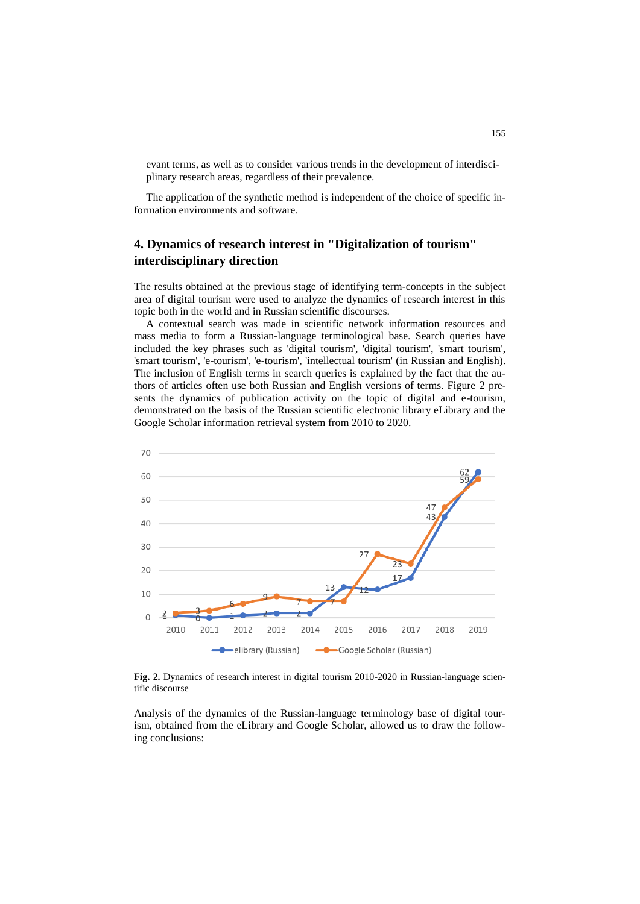evant terms, as well as to consider various trends in the development of interdisciplinary research areas, regardless of their prevalence.

The application of the synthetic method is independent of the choice of specific information environments and software.

## **4. Dynamics of research interest in "Digitalization of tourism" interdisciplinary direction**

The results obtained at the previous stage of identifying term-concepts in the subject area of digital tourism were used to analyze the dynamics of research interest in this topic both in the world and in Russian scientific discourses.

A contextual search was made in scientific network information resources and mass media to form a Russian-language terminological base. Search queries have included the key phrases such as 'digital tourism', 'digital tourism', 'smart tourism', 'smart tourism', 'e-tourism', 'e-tourism', 'intellectual tourism' (in Russian and English). The inclusion of English terms in search queries is explained by the fact that the authors of articles often use both Russian and English versions of terms. Figure 2 presents the dynamics of publication activity on the topic of digital and e-tourism, demonstrated on the basis of the Russian scientific electronic library eLibrary and the Google Scholar information retrieval system from 2010 to 2020.



**Fig. 2.** Dynamics of research interest in digital tourism 2010-2020 in Russian-language scientific discourse

Analysis of the dynamics of the Russian-language terminology base of digital tourism, obtained from the eLibrary and Google Scholar, allowed us to draw the following conclusions: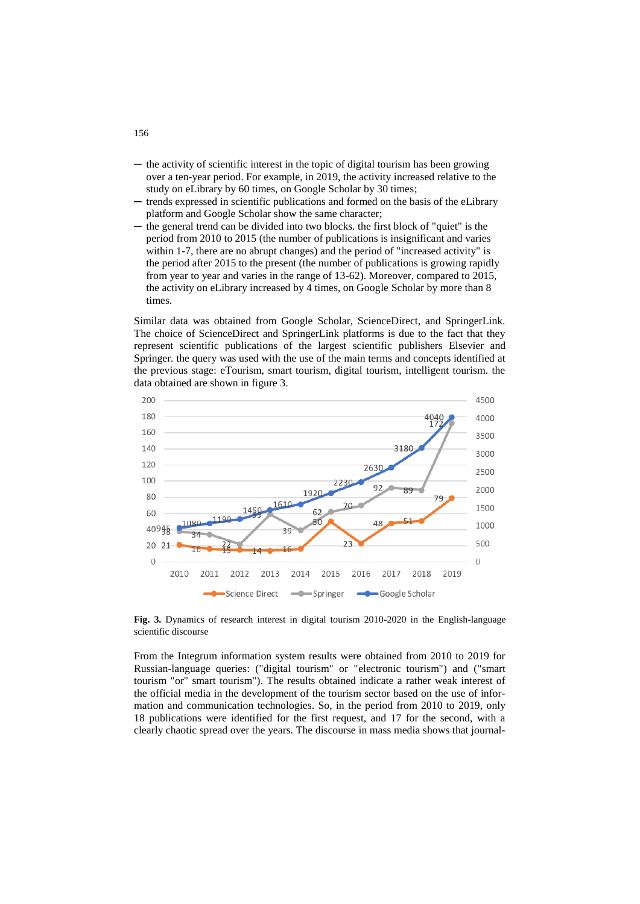- the activity of scientific interest in the topic of digital tourism has been growing over a ten-year period. For example, in 2019, the activity increased relative to the study on eLibrary by 60 times, on Google Scholar by 30 times;
- ─ trends expressed in scientific publications and formed on the basis of the eLibrary platform and Google Scholar show the same character;
- the general trend can be divided into two blocks. the first block of "quiet" is the period from 2010 to 2015 (the number of publications is insignificant and varies within 1-7, there are no abrupt changes) and the period of "increased activity" is the period after 2015 to the present (the number of publications is growing rapidly from year to year and varies in the range of 13-62). Moreover, compared to 2015, the activity on eLibrary increased by 4 times, on Google Scholar by more than 8 times.

Similar data was obtained from Google Scholar, ScienceDirect, and SpringerLink. The choice of ScienceDirect and SpringerLink platforms is due to the fact that they represent scientific publications of the largest scientific publishers Elsevier and Springer. the query was used with the use of the main terms and concepts identified at the previous stage: eTourism, smart tourism, digital tourism, intelligent tourism. the data obtained are shown in figure 3.



**Fig. 3.** Dynamics of research interest in digital tourism 2010-2020 in the English-language scientific discourse

From the Integrum information system results were obtained from 2010 to 2019 for Russian-language queries: ("digital tourism" or "electronic tourism") and ("smart tourism "or" smart tourism"). The results obtained indicate a rather weak interest of the official media in the development of the tourism sector based on the use of information and communication technologies. So, in the period from 2010 to 2019, only 18 publications were identified for the first request, and 17 for the second, with a clearly chaotic spread over the years. The discourse in mass media shows that journal-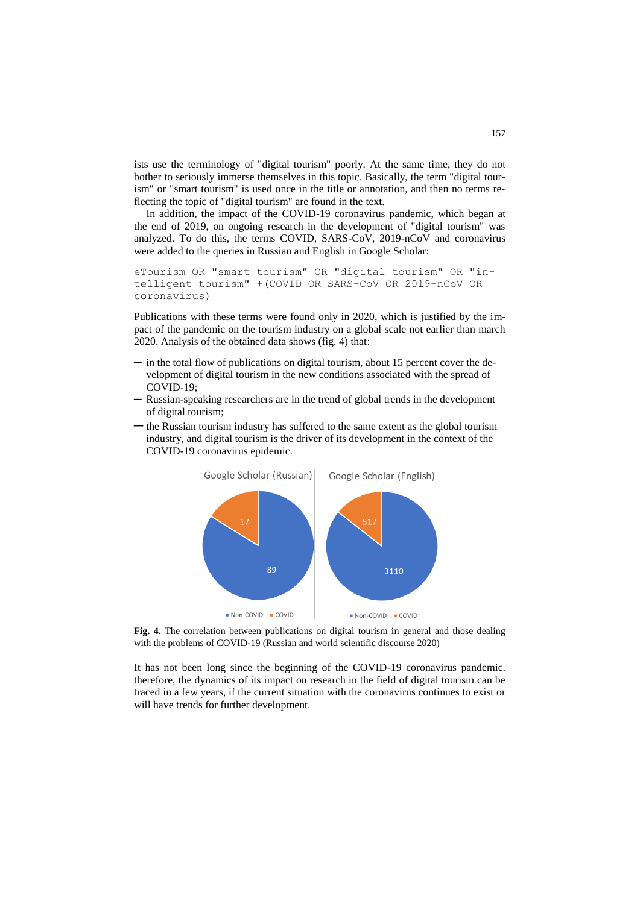ists use the terminology of "digital tourism" poorly. At the same time, they do not bother to seriously immerse themselves in this topic. Basically, the term "digital tourism" or "smart tourism" is used once in the title or annotation, and then no terms reflecting the topic of "digital tourism" are found in the text.

In addition, the impact of the COVID-19 coronavirus pandemic, which began at the end of 2019, on ongoing research in the development of "digital tourism" was analyzed. To do this, the terms COVID, SARS-CoV, 2019-nCoV and coronavirus were added to the queries in Russian and English in Google Scholar:

```
eTourism OR "smart tourism" OR "digital tourism" OR "in-
telligent tourism" +(COVID OR SARS-CoV OR 2019-nCoV OR 
coronavirus)
```
Publications with these terms were found only in 2020, which is justified by the impact of the pandemic on the tourism industry on a global scale not earlier than march 2020. Analysis of the obtained data shows (fig. 4) that:

- ─ in the total flow of publications on digital tourism, about 15 percent cover the development of digital tourism in the new conditions associated with the spread of COVID-19;
- Russian-speaking researchers are in the trend of global trends in the development of digital tourism;
- ─ the Russian tourism industry has suffered to the same extent as the global tourism industry, and digital tourism is the driver of its development in the context of the COVID-19 coronavirus epidemic.



**Fig. 4.** The correlation between publications on digital tourism in general and those dealing with the problems of COVID-19 (Russian and world scientific discourse 2020)

It has not been long since the beginning of the COVID-19 coronavirus pandemic. therefore, the dynamics of its impact on research in the field of digital tourism can be traced in a few years, if the current situation with the coronavirus continues to exist or will have trends for further development.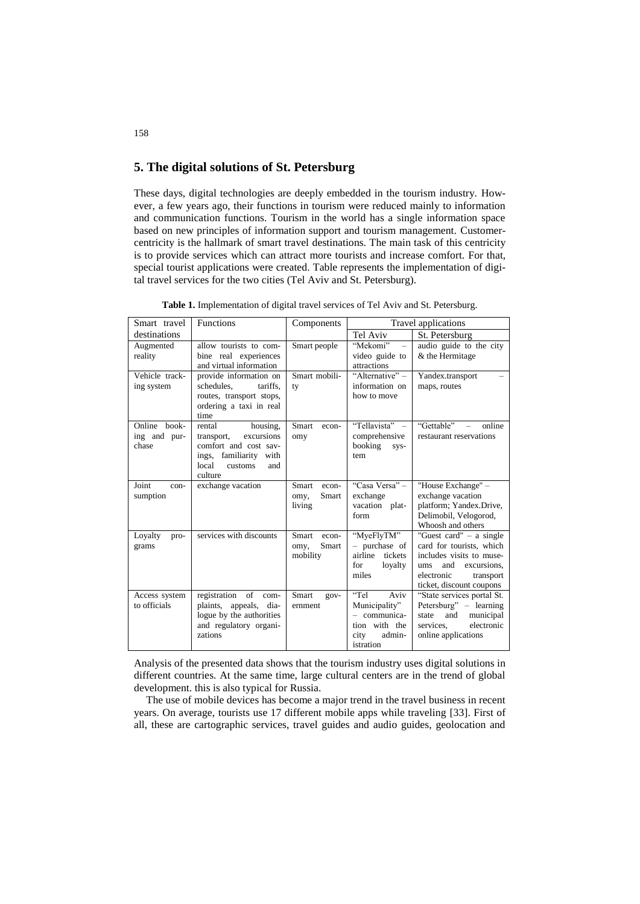### **5. The digital solutions of St. Petersburg**

These days, digital technologies are deeply embedded in the tourism industry. However, a few years ago, their functions in tourism were reduced mainly to information and communication functions. Tourism in the world has a single information space based on new principles of information support and tourism management. Customercentricity is the hallmark of smart travel destinations. The main task of this centricity is to provide services which can attract more tourists and increase comfort. For that, special tourist applications were created. Table represents the implementation of digital travel services for the two cities (Tel Aviv and St. Petersburg).

| Smart travel                          | <b>Functions</b>                                                                                                                        | Components                                  | Travel applications                                                                           |                                                                                                                                                                       |  |  |
|---------------------------------------|-----------------------------------------------------------------------------------------------------------------------------------------|---------------------------------------------|-----------------------------------------------------------------------------------------------|-----------------------------------------------------------------------------------------------------------------------------------------------------------------------|--|--|
| destinations                          |                                                                                                                                         |                                             | Tel Aviv                                                                                      | St. Petersburg                                                                                                                                                        |  |  |
| Augmented<br>reality                  | allow tourists to com-<br>bine real experiences<br>and virtual information                                                              | Smart people                                | "Mekomi"<br>$\overline{\phantom{a}}$<br>video guide to<br>attractions                         | audio guide to the city<br>& the Hermitage                                                                                                                            |  |  |
| Vehicle track-<br>ing system          | provide information on<br>schedules.<br>tariffs.<br>routes, transport stops,<br>ordering a taxi in real<br>time                         | Smart mobili-<br>ty                         | "Alternative" -<br>information on<br>how to move                                              | Yandex.transport<br>maps, routes                                                                                                                                      |  |  |
| Online book-<br>ing and pur-<br>chase | rental<br>housing.<br>excursions<br>transport,<br>comfort and cost sav-<br>ings, familiarity with<br>local<br>customs<br>and<br>culture | Smart<br>econ-<br>omy                       | "Tellavista" -<br>comprehensive<br>booking<br>SVS-<br>tem                                     | "Gettable"<br>online<br>restaurant reservations                                                                                                                       |  |  |
| Joint<br>con-<br>sumption             | exchange vacation                                                                                                                       | Smart<br>econ-<br>Smart<br>omy,<br>living   | "Casa Versa" -<br>exchange<br>vacation plat-<br>form                                          | "House Exchange" -<br>exchange vacation<br>platform; Yandex.Drive,<br>Delimobil, Velogorod,<br>Whoosh and others                                                      |  |  |
| Loyalty<br>pro-<br>grams              | services with discounts                                                                                                                 | Smart<br>econ-<br>Smart<br>omy,<br>mobility | "MyeFlyTM"<br>- purchase of<br>airline<br>tickets<br>for<br>loyalty<br>miles                  | "Guest card" $-$ a single<br>card for tourists, which<br>includes visits to muse-<br>excursions,<br>and<br>ums<br>electronic<br>transport<br>ticket, discount coupons |  |  |
| Access system<br>to officials         | registration of<br>com-<br>plaints, appeals,<br>dia-<br>logue by the authorities<br>and regulatory organi-<br>zations                   | Smart<br>$qov-$<br>ernment                  | "Tel<br>Aviv<br>Municipality"<br>- communica-<br>tion with the<br>admin-<br>city<br>istration | "State services portal St.<br>Petersburg" – learning<br>and<br>municipal<br>state<br>electronic<br>services.<br>online applications                                   |  |  |

**Table 1.** Implementation of digital travel services of Tel Aviv and St. Petersburg.

Analysis of the presented data shows that the tourism industry uses digital solutions in different countries. At the same time, large cultural centers are in the trend of global development. this is also typical for Russia.

The use of mobile devices has become a major trend in the travel business in recent years. On average, tourists use 17 different mobile apps while traveling [33]. First of all, these are cartographic services, travel guides and audio guides, geolocation and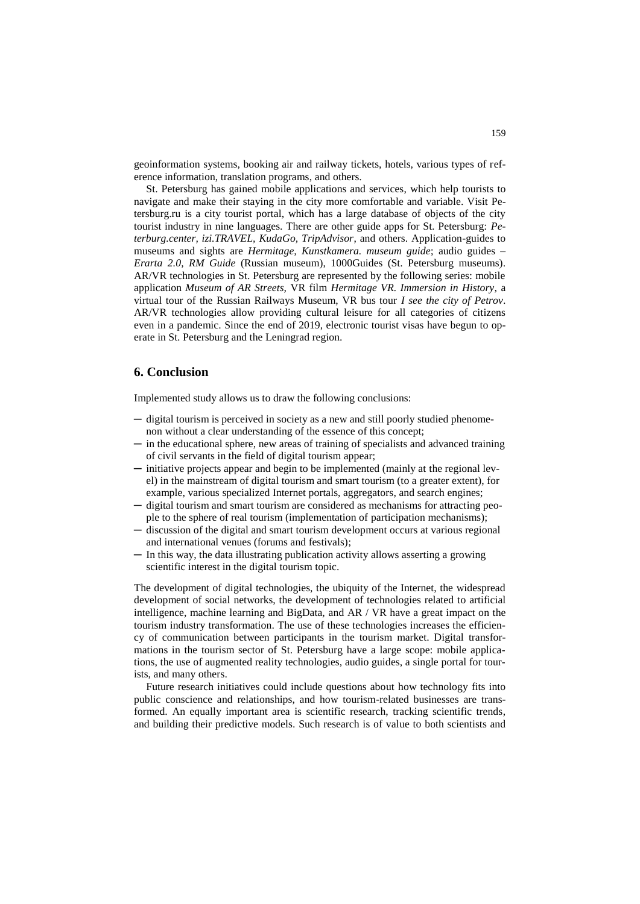geoinformation systems, booking air and railway tickets, hotels, various types of reference information, translation programs, and others.

St. Petersburg has gained mobile applications and services, which help tourists to navigate and make their staying in the city more comfortable and variable. Visit Petersburg.ru is a city tourist portal, which has a large database of objects of the city tourist industry in nine languages. There are other guide apps for St. Petersburg: *Peterburg.center, izi.TRAVEL, KudaGo, TripAdvisor*, and others. Application-guides to museums and sights are *Hermitage, Kunstkamera. museum guide*; audio guides – *Erarta 2.0, RM Guide* (Russian museum), 1000Guides (St. Petersburg museums). AR/VR technologies in St. Petersburg are represented by the following series: mobile application *Museum of AR Streets,* VR film *Hermitage VR. Immersion in History*, a virtual tour of the Russian Railways Museum, VR bus tour *I see the city of Petrov*. AR/VR technologies allow providing cultural leisure for all categories of citizens even in a pandemic. Since the end of 2019, electronic tourist visas have begun to operate in St. Petersburg and the Leningrad region.

### **6. Conclusion**

Implemented study allows us to draw the following conclusions:

- ─ digital tourism is perceived in society as a new and still poorly studied phenomenon without a clear understanding of the essence of this concept;
- ─ in the educational sphere, new areas of training of specialists and advanced training of civil servants in the field of digital tourism appear;
- ─ initiative projects appear and begin to be implemented (mainly at the regional level) in the mainstream of digital tourism and smart tourism (to a greater extent), for example, various specialized Internet portals, aggregators, and search engines;
- ─ digital tourism and smart tourism are considered as mechanisms for attracting people to the sphere of real tourism (implementation of participation mechanisms);
- ─ discussion of the digital and smart tourism development occurs at various regional and international venues (forums and festivals);
- ─ In this way, the data illustrating publication activity allows asserting a growing scientific interest in the digital tourism topic.

The development of digital technologies, the ubiquity of the Internet, the widespread development of social networks, the development of technologies related to artificial intelligence, machine learning and BigData, and AR / VR have a great impact on the tourism industry transformation. The use of these technologies increases the efficiency of communication between participants in the tourism market. Digital transformations in the tourism sector of St. Petersburg have a large scope: mobile applications, the use of augmented reality technologies, audio guides, a single portal for tourists, and many others.

Future research initiatives could include questions about how technology fits into public conscience and relationships, and how tourism-related businesses are transformed. An equally important area is scientific research, tracking scientific trends, and building their predictive models. Such research is of value to both scientists and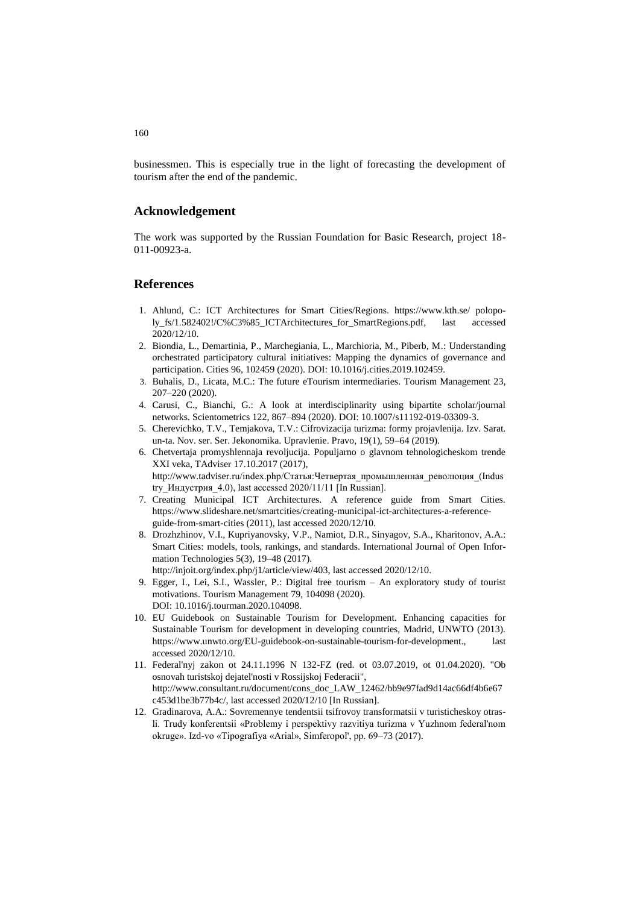businessmen. This is especially true in the light of forecasting the development of tourism after the end of the pandemic.

### **Acknowledgement**

The work was supported by the Russian Foundation for Basic Research, project 18- 011-00923-a.

### **References**

- 1. Ahlund, C.: ICT Architectures for Smart Cities/Regions. https://www.kth.se/ polopoly\_fs/1.582402!/C%C3%85\_ICTArchitectures\_for\_SmartRegions.pdf, last accessed 2020/12/10.
- 2. Biondia, L., Demartinia, P., Marchegiania, L., Marchioria, M., Piberb, M.: Understanding orchestrated participatory cultural initiatives: Mapping the dynamics of governance and participation. Cities 96, 102459 (2020). DOI: 10.1016/j.cities.2019.102459.
- 3. Buhalis, D., Licata, M.C.: The future eTourism intermediaries. Tourism Management 23, 207–220 (2020).
- 4. Carusi, C., Bianchi, G.: A look at interdisciplinarity using bipartite scholar/journal networks. Scientometrics 122, 867–894 (2020). DOI: 10.1007/s11192-019-03309-3.
- 5. Cherevichko, T.V., Temjakova, T.V.: Cifrovizacija turizma: formy projavlenija. Izv. Sarat. un-ta. Nov. ser. Ser. Jekonomika. Upravlenie. Pravo, 19(1), 59–64 (2019).
- 6. Chetvertaja promyshlennaja revoljucija. Populjarno o glavnom tehnologicheskom trende XXI veka, TAdviser 17.10.2017 (2017), http://www.tadviser.ru/index.php/Статья:Четвертая\_промышленная\_революция\_(Indus try\_Индустрия\_4.0), last accessed 2020/11/11 [In Russian].
- 7. Creating Municipal ICT Architectures. A reference guide from Smart Cities. https://www.slideshare.net/smartcities/creating-municipal-ict-architectures-a-referenceguide-from-smart-cities (2011), last accessed 2020/12/10.
- 8. Drozhzhinov, V.I., Kupriyanovsky, V.P., Namiot, D.R., Sinyagov, S.A., Kharitonov, A.A.: Smart Cities: models, tools, rankings, and standards. International Journal of Open Information Technologies 5(3), 19–48 (2017).

http://injoit.org/index.php/j1/article/view/403, last accessed 2020/12/10.

- 9. Egger, I., Lei, S.I., Wassler, P.: Digital free tourism An exploratory study of tourist motivations. Tourism Management 79, 104098 (2020). DOI: 10.1016/j.tourman.2020.104098.
- 10. EU Guidebook on Sustainable Tourism for Development. Enhancing capacities for Sustainable Tourism for development in developing countries, Madrid, UNWTO (2013). [https://www.unwto.org/EU-guidebook-on-sustainable-tourism-for-development.](https://www.unwto.org/EU-guidebook-on-sustainable-tourism-for-development), last accessed 2020/12/10.
- 11. Federal'nyj zakon ot 24.11.1996 N 132-FZ (red. ot 03.07.2019, ot 01.04.2020). "Ob osnovah turistskoj dejatel'nosti v Rossijskoj Federacii", http://www.consultant.ru/document/cons\_doc\_LAW\_12462/bb9e97fad9d14ac66df4b6e67 c453d1be3b77b4c/, last accessed 2020/12/10 [In Russian].
- 12. Gradinarova, A.A.: Sovremennye tendentsii tsifrovoy transformatsii v turisticheskoy otrasli. Trudy konferentsii «Problemy i perspektivy razvitiya turizma v Yuzhnom federal'nom okruge». Izd-vo «Tipografiya «Arial», Simferopol', pp. 69–73 (2017).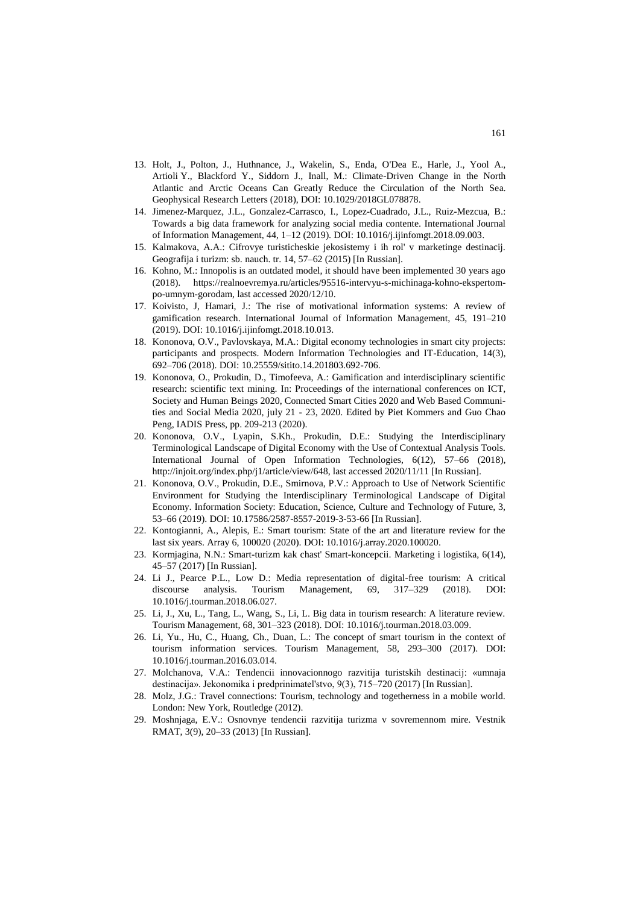- 13. Holt, J., Polton, J., Huthnance, J., Wakelin, S., Enda, O'Dea E., Harle, J., Yool A., Artioli Y., Blackford Y., Siddorn J., Inall, M.: Climate-Driven Change in the North Atlantic and Arctic Oceans Can Greatly Reduce the Circulation of the North Sea. Geophysical Research Letters (2018), DOI: 10.1029/2018GL078878.
- 14. Jimenez-Marquez, J.L., Gonzalez-Carrasco, I., Lopez-Cuadrado, J.L., Ruiz-Mezcua, B.: Towards a big data framework for analyzing social media contente. International Journal of Information Management, 44, 1–12 (2019). DOI: 10.1016/j.ijinfomgt.2018.09.003.
- 15. Kalmakova, A.A.: Cifrovye turisticheskie jekosistemy i ih rol' v marketinge destinacij. Geografija i turizm: sb. nauch. tr. 14, 57–62 (2015) [In Russian].
- 16. Kohno, M.: Innopolis is an outdated model, it should have been implemented 30 years ago (2018). https://realnoevremya.ru/articles/95516-intervyu-s-michinaga-kohno-ekspertompo-umnym-gorodam, last accessed 2020/12/10.
- 17. Koivisto, J, Hamari, J.: The rise of motivational information systems: A review of gamification research. International Journal of Information Management, 45, 191–210 (2019). DOI: 10.1016/j.ijinfomgt.2018.10.013.
- 18. Kononova, O.V., Pavlovskaya, M.A.: Digital economy technologies in smart city projects: participants and prospects. Modern Information Technologies and IT-Education, 14(3), 692–706 (2018). DOI: 10.25559/sitito.14.201803.692-706.
- 19. Kononova, O., Prokudin, D., Timofeeva, A.: Gamification and interdisciplinary scientific research: scientific text mining. In: Proceedings of the international conferences on ICT, Society and Human Beings 2020, Connected Smart Cities 2020 and Web Based Communities and Social Media 2020, july 21 - 23, 2020. Edited by Piet Kommers and Guo Chao Peng, IADIS Press, pp. 209-213 (2020).
- 20. Kononova, O.V., Lyapin, S.Kh., Prokudin, D.E.: Studying the Interdisciplinary Terminological Landscape of Digital Economy with the Use of Contextual Analysis Tools. International Journal of Open Information Technologies, 6(12), 57–66 (2018), [http://injoit.org/index.php/j1/article/view/648,](http://injoit.org/index.php/j1/article/view/648) last accessed 2020/11/11 [In Russian].
- 21. Kononova, O.V., Prokudin, D.E., Smirnova, P.V.: Approach to Use of Network Scientific Environment for Studying the Interdisciplinary Terminological Landscape of Digital Economy. Information Society: Education, Science, Culture and Technology of Future, 3, 53–66 (2019). DOI: 10.17586/2587-8557-2019-3-53-66 [In Russian].
- 22. Kontogianni, A., Alepis, E.: Smart tourism: State of the art and literature review for the last six years. Array 6, 100020 (2020). DOI: 10.1016/j.array.2020.100020.
- 23. Kormjagina, N.N.: Smart-turizm kak chast' Smart-koncepcii. Marketing i logistika, 6(14), 45–57 (2017) [In Russian].
- 24. Li J., Pearce P.L., Low D.: Media representation of digital-free tourism: A critical discourse analysis. Tourism Management, 69, 317–329 (2018). DOI: 10.1016/j.tourman.2018.06.027.
- 25. Li, J., Xu, L., Tang, L., Wang, S., Li, L. Big data in tourism research: A literature review. Tourism Management, 68, 301–323 (2018). DOI: 10.1016/j.tourman.2018.03.009.
- 26. Li, Yu., Hu, C., Huang, Ch., Duan, L.: The concept of smart tourism in the context of tourism information services. Tourism Management, 58, 293–300 (2017). DOI: 10.1016/j.tourman.2016.03.014.
- 27. Molchanova, V.A.: Tendencii innovacionnogo razvitija turistskih destinacij: «umnaja destinacija». Jekonomika i predprinimatel'stvo, 9(3), 715–720 (2017) [In Russian].
- 28. Molz, J.G.: Travel connections: Tourism, technology and togetherness in a mobile world. London: New York, Routledge (2012).
- 29. Moshnjaga, E.V.: Osnovnye tendencii razvitija turizma v sovremennom mire. Vestnik RMAT, 3(9), 20–33 (2013) [In Russian].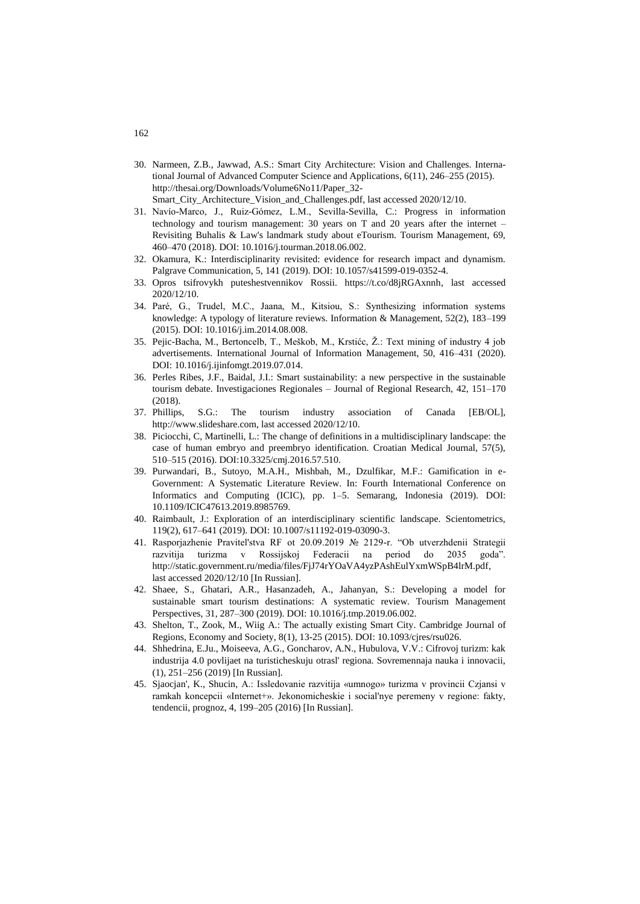- 30. Narmeen, Z.B., Jawwad, A.S.: Smart City Architecture: Vision and Challenges. International Journal of Advanced Computer Science and Applications, 6(11), 246–255 (2015). http://thesai.org/Downloads/Volume6No11/Paper\_32- Smart\_City\_Architecture\_Vision\_and\_Challenges.pdf, last accessed 2020/12/10.
- 31. Navío-Marco, J., Ruiz-Gómez, L.M., Sevilla-Sevilla, C.: Progress in information technology and tourism management: 30 years on T and 20 years after the internet – Revisiting Buhalis & Law's landmark study about eTourism. Tourism Management, 69, 460–470 (2018). DOI: 10.1016/j.tourman.2018.06.002.
- 32. Okamura, K.: Interdisciplinarity revisited: evidence for research impact and dynamism. Palgrave Communication, 5, 141 (2019). DOI: 10.1057/s41599-019-0352-4.
- 33. Opros tsifrovykh puteshestvennikov Rossii. https://t.co/d8jRGAxnnh, last accessed 2020/12/10.
- 34. Paré, G., Trudel, M.C., Jaana, M., Kitsiou, S.: Synthesizing information systems knowledge: A typology of literature reviews. Information & Management, 52(2), 183–199 (2015). DOI: 10.1016/j.im.2014.08.008.
- 35. Pejic-Bacha, M., Bertoncelb, T., Meškob, M., Krstićc, Ž.: Text mining of industry 4 job advertisements. International Journal of Information Management, 50, 416–431 (2020). DOI: 10.1016/j.ijinfomgt.2019.07.014.
- 36. Perles Ribes, J.F., Baidal, J.I.: Smart sustainability: a new perspective in the sustainable tourism debate. Investigaciones Regionales – Journal of Regional Research, 42, 151–170 (2018).
- 37. Phillips, S.G.: The tourism industry association of Canada [EB/OL], [http://www.slideshare.com,](http://www.slideshare.com/) last accessed 2020/12/10.
- 38. Piciocchi, C, Martinelli, L.: The change of definitions in a multidisciplinary landscape: the case of human embryo and preembryo identification. Croatian Medical Journal, 57(5), 510–515 (2016). DOI:10.3325/cmj.2016.57.510.
- 39. Purwandari, B., Sutoyo, M.A.H., Mishbah, M., Dzulfikar, M.F.: Gamification in e-Government: A Systematic Literature Review. In: Fourth International Conference on Informatics and Computing (ICIC), pp. 1–5. Semarang, Indonesia (2019). DOI: 10.1109/ICIC47613.2019.8985769.
- 40. Raimbault, J.: Exploration of an interdisciplinary scientific landscape. Scientometrics, 119(2), 617–641 (2019). DOI: 10.1007/s11192-019-03090-3.
- 41. Rasporjazhenie Pravitel'stva RF ot 20.09.2019 № 2129-r. "Ob utverzhdenii Strategii razvitija turizma v Rossijskoj Federacii na period do 2035 goda". [http://static.government.ru/media/files/FjJ74rYOaVA4yzPAshEulYxmWSpB4lrM.pdf,](http://static.government.ru/media/files/FjJ74rYOaVA4yzPAshEulYxmWSpB4lrM.pdf)  last accessed 2020/12/10 [In Russian].
- 42. Shaee, S., Ghatari, A.R., Hasanzadeh, A., Jahanyan, S.: Developing a model for sustainable smart tourism destinations: A systematic review. Tourism Management Perspectives, 31, 287–300 (2019). DOI: 10.1016/j.tmp.2019.06.002.
- 43. Shelton, T., Zook, M., Wiig A.: The actually existing Smart City. Cambridge Journal of Regions, Economy and Society, 8(1), 13-25 (2015). DOI: 10.1093/cjres/rsu026.
- 44. Shhedrina, E.Ju., Moiseeva, A.G., Goncharov, A.N., Hubulova, V.V.: Cifrovoj turizm: kak industrija 4.0 povlijaet na turisticheskuju otrasl' regiona. Sovremennaja nauka i innovacii, (1), 251–256 (2019) [In Russian].
- 45. Sjaocjan', K., Shucin, A.: Issledovanie razvitija «umnogo» turizma v provincii Czjansi v ramkah koncepcii «Internet+». Jekonomicheskie i social'nye peremeny v regione: fakty, tendencii, prognoz, 4, 199–205 (2016) [In Russian].